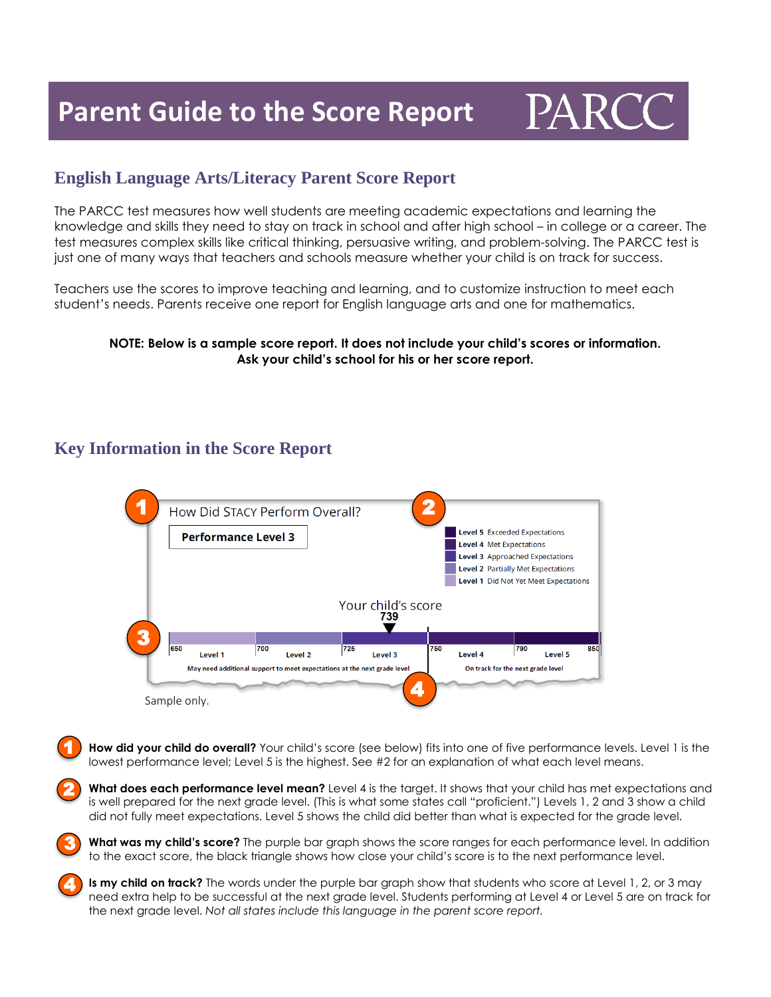

#### **English Language Arts/Literacy Parent Score Report**

The PARCC test measures how well students are meeting academic expectations and learning the knowledge and skills they need to stay on track in school and after high school – in college or a career. The test measures complex skills like critical thinking, persuasive writing, and problem-solving. The PARCC test is just one of many ways that teachers and schools measure whether your child is on track for success.

Teachers use the scores to improve teaching and learning, and to customize instruction to meet each student's needs. Parents receive one report for English language arts and one for mathematics.

#### **NOTE: Below is a sample score report. It does not include your child's scores or information. Ask your child's school for his or her score report.**

### **Key Information in the Score Report**

3

4



**How did your child do overall?** Your child's score (see below) fits into one of five performance levels. Level 1 is the lowest performance level; Level 5 is the highest. See #2 for an explanation of what each level means. 1

**What does each performance level mean?** Level 4 is the target. It shows that your child has met expectations and is well prepared for the next grade level. (This is what some states call "proficient.") Levels 1, 2 and 3 show a child did not fully meet expectations. Level 5 shows the child did better than what is expected for the grade level. 2

**What was my child's score?** The purple bar graph shows the score ranges for each performance level. In addition to the exact score, the black triangle shows how close your child's score is to the next performance level.

**Is my child on track?** The words under the purple bar graph show that students who score at Level 1, 2, or 3 may need extra help to be successful at the next grade level. Students performing at Level 4 or Level 5 are on track for the next grade level. *Not all states include this language in the parent score report.*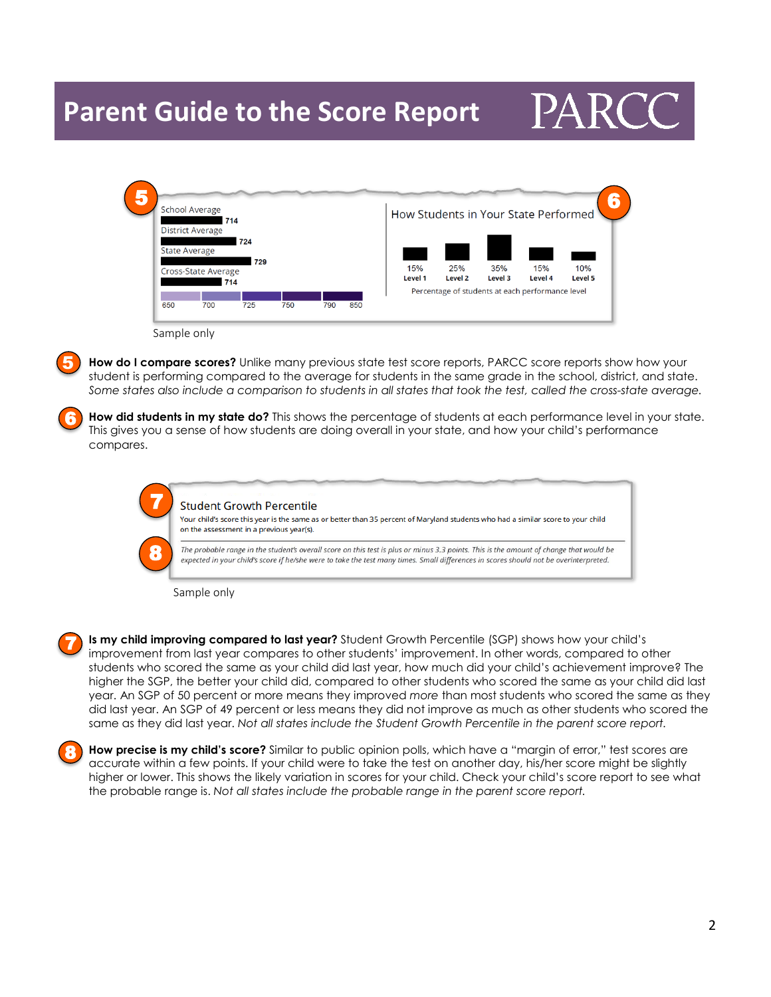## **Parent Guide to the Score Report**

# PAR<sup>C</sup>

| <b>School Average</b><br>714 |                         |     |     |     |     | How Students in Your State Performed |         |         |                                                  |         |
|------------------------------|-------------------------|-----|-----|-----|-----|--------------------------------------|---------|---------|--------------------------------------------------|---------|
|                              | <b>District Average</b> |     |     |     |     |                                      |         |         |                                                  |         |
|                              |                         | 724 |     |     |     |                                      |         |         |                                                  |         |
| <b>State Average</b>         |                         |     |     |     |     |                                      |         |         |                                                  |         |
| 729<br>Cross-State Average   |                         |     |     |     |     | 15%                                  | 25%     | 35%     | 15%                                              | 10%     |
|                              |                         | 714 |     |     |     | Level 1                              | Level 2 | Level 3 | Level 4                                          | Level 5 |
|                              |                         |     |     |     |     |                                      |         |         | Percentage of students at each performance level |         |
| 650                          | 700                     | 725 | 750 | 790 | 850 |                                      |         |         |                                                  |         |

5

6

**How do I compare scores?** Unlike many previous state test score reports, PARCC score reports show how your student is performing compared to the average for students in the same grade in the school, district, and state. Some states also include a comparison to students in all states that took the test, called the cross-state average.

**How did students in my state do?** This shows the percentage of students at each performance level in your state. This gives you a sense of how students are doing overall in your state, and how your child's performance compares.

|   | <b>Student Growth Percentile</b><br>Your child's score this year is the same as or better than 35 percent of Maryland students who had a similar score to your child<br>on the assessment in a previous year(s).                                                                |
|---|---------------------------------------------------------------------------------------------------------------------------------------------------------------------------------------------------------------------------------------------------------------------------------|
| 8 | The probable range in the student's overall score on this test is plus or minus 3.3 points. This is the amount of change that would be<br>expected in your child's score if he/she were to take the test many times. Small differences in scores should not be overinterpreted. |

Sample only

**Is my child improving compared to last year?** Student Growth Percentile (SGP) shows how your child's improvement from last year compares to other students' improvement. In other words, compared to other students who scored the same as your child did last year, how much did your child's achievement improve? The higher the SGP, the better your child did, compared to other students who scored the same as your child did last year. An SGP of 50 percent or more means they improved *more* than most students who scored the same as they did last year. An SGP of 49 percent or less means they did not improve as much as other students who scored the same as they did last year. *Not all states include the Student Growth Percentile in the parent score report.* 7

8

**How precise is my child's score?** Similar to public opinion polls, which have a "margin of error," test scores are accurate within a few points. If your child were to take the test on another day, his/her score might be slightly higher or lower. This shows the likely variation in scores for your child. Check your child's score report to see what the probable range is. *Not all states include the probable range in the parent score report.*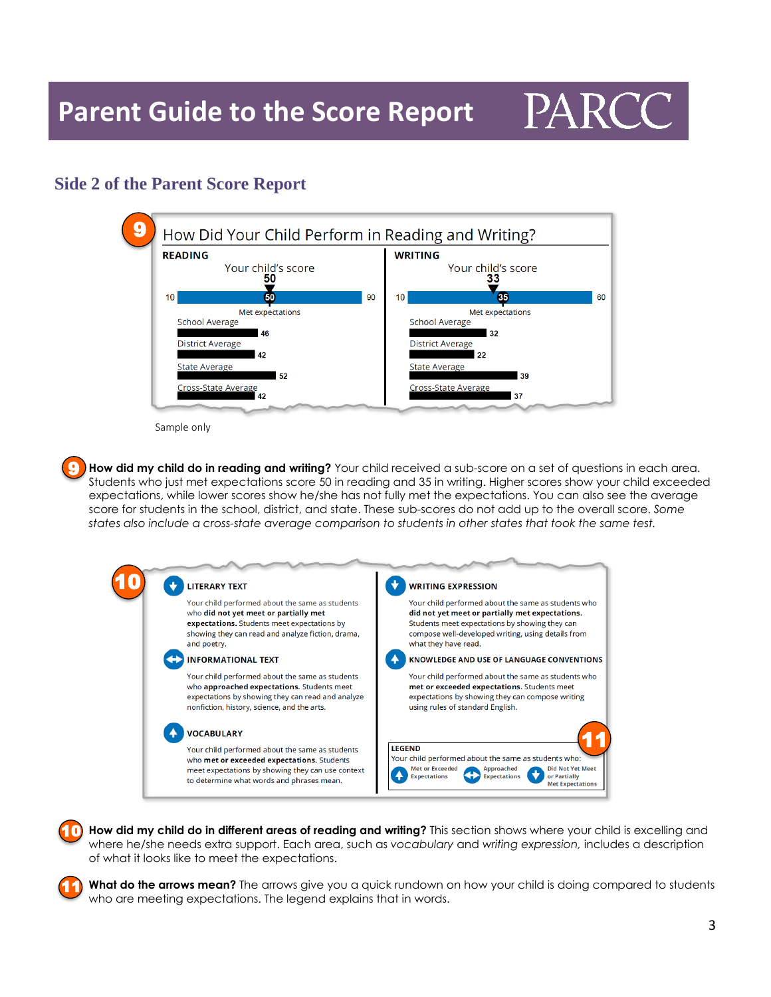

#### **Side 2 of the Parent Score Report**



Sample only

**How did my child do in reading and writing?** Your child received a sub-score on a set of questions in each area. Students who just met expectations score 50 in reading and 35 in writing. Higher scores show your child exceeded expectations, while lower scores show he/she has not fully met the expectations. You can also see the average score for students in the school, district, and state. These sub-scores do not add up to the overall score. *Some states also include a cross-state average comparison to students in other states that took the same test.* 9



**How did my child do in different areas of reading and writing?** This section shows where your child is excelling and where he/she needs extra support. Each area, such as *vocabulary* and *writing expression,* includes a description of what it looks like to meet the expectations. 10

**What do the arrows mean?** The arrows give you a quick rundown on how your child is doing compared to students who are meeting expectations. The legend explains that in words. 11